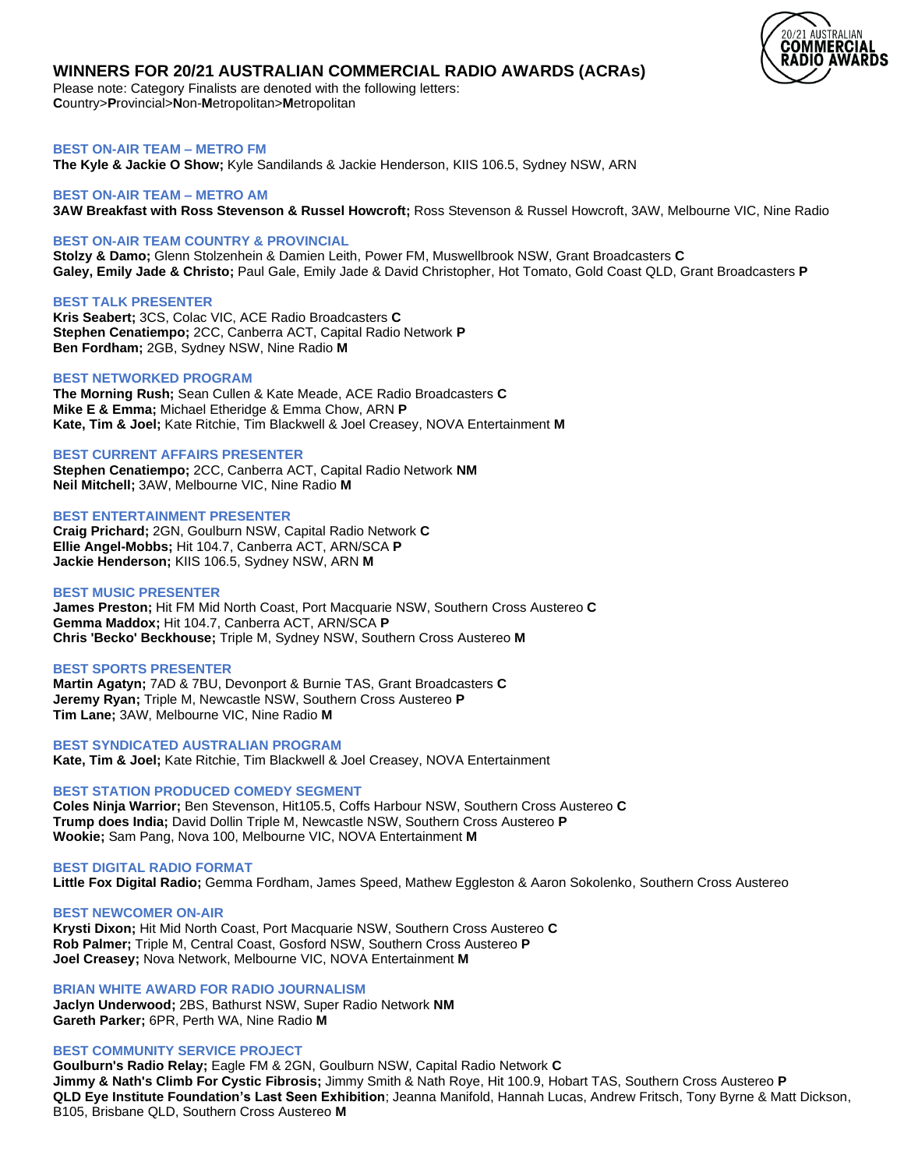

# **WINNERS FOR 20/21 AUSTRALIAN COMMERCIAL RADIO AWARDS (ACRAs)**

Please note: Category Finalists are denoted with the following letters: **C**ountry>**P**rovincial>**N**on-**M**etropolitan>**M**etropolitan

**BEST ON-AIR TEAM – METRO FM**

**The Kyle & Jackie O Show;** Kyle Sandilands & Jackie Henderson, KIIS 106.5, Sydney NSW, ARN

# **BEST ON-AIR TEAM – METRO AM 3AW Breakfast with Ross Stevenson & Russel Howcroft;** Ross Stevenson & Russel Howcroft, 3AW, Melbourne VIC, Nine Radio

# **BEST ON-AIR TEAM COUNTRY & PROVINCIAL**

**Stolzy & Damo;** Glenn Stolzenhein & Damien Leith, Power FM, Muswellbrook NSW, Grant Broadcasters **C Galey, Emily Jade & Christo;** Paul Gale, Emily Jade & David Christopher, Hot Tomato, Gold Coast QLD, Grant Broadcasters **P**

## **BEST TALK PRESENTER**

**Kris Seabert;** 3CS, Colac VIC, ACE Radio Broadcasters **C Stephen Cenatiempo;** 2CC, Canberra ACT, Capital Radio Network **P Ben Fordham;** 2GB, Sydney NSW, Nine Radio **M**

# **BEST NETWORKED PROGRAM**

**The Morning Rush;** Sean Cullen & Kate Meade, ACE Radio Broadcasters **C Mike E & Emma;** Michael Etheridge & Emma Chow, ARN **P Kate, Tim & Joel;** Kate Ritchie, Tim Blackwell & Joel Creasey, NOVA Entertainment **M**

## **BEST CURRENT AFFAIRS PRESENTER**

**Stephen Cenatiempo;** 2CC, Canberra ACT, Capital Radio Network **NM Neil Mitchell;** 3AW, Melbourne VIC, Nine Radio **M**

# **BEST ENTERTAINMENT PRESENTER**

**Craig Prichard;** 2GN, Goulburn NSW, Capital Radio Network **C Ellie Angel-Mobbs;** Hit 104.7, Canberra ACT, ARN/SCA **P Jackie Henderson;** KIIS 106.5, Sydney NSW, ARN **M**

## **BEST MUSIC PRESENTER**

**James Preston;** Hit FM Mid North Coast, Port Macquarie NSW, Southern Cross Austereo **C Gemma Maddox;** Hit 104.7, Canberra ACT, ARN/SCA **P Chris 'Becko' Beckhouse;** Triple M, Sydney NSW, Southern Cross Austereo **M**

## **BEST SPORTS PRESENTER**

**Martin Agatyn;** 7AD & 7BU, Devonport & Burnie TAS, Grant Broadcasters **C Jeremy Ryan;** Triple M, Newcastle NSW, Southern Cross Austereo **P Tim Lane;** 3AW, Melbourne VIC, Nine Radio **M**

# **BEST SYNDICATED AUSTRALIAN PROGRAM**

**Kate, Tim & Joel;** Kate Ritchie, Tim Blackwell & Joel Creasey, NOVA Entertainment

# **BEST STATION PRODUCED COMEDY SEGMENT**

**Coles Ninja Warrior;** Ben Stevenson, Hit105.5, Coffs Harbour NSW, Southern Cross Austereo **C Trump does India;** David Dollin Triple M, Newcastle NSW, Southern Cross Austereo **P Wookie;** Sam Pang, Nova 100, Melbourne VIC, NOVA Entertainment **M**

## **BEST DIGITAL RADIO FORMAT**

**Little Fox Digital Radio;** Gemma Fordham, James Speed, Mathew Eggleston & Aaron Sokolenko, Southern Cross Austereo

# **BEST NEWCOMER ON-AIR**

**Krysti Dixon;** Hit Mid North Coast, Port Macquarie NSW, Southern Cross Austereo **C Rob Palmer;** Triple M, Central Coast, Gosford NSW, Southern Cross Austereo **P Joel Creasey;** Nova Network, Melbourne VIC, NOVA Entertainment **M**

# **BRIAN WHITE AWARD FOR RADIO JOURNALISM**

**Jaclyn Underwood;** 2BS, Bathurst NSW, Super Radio Network **NM Gareth Parker;** 6PR, Perth WA, Nine Radio **M**

# **BEST COMMUNITY SERVICE PROJECT**

**Goulburn's Radio Relay;** Eagle FM & 2GN, Goulburn NSW, Capital Radio Network **C Jimmy & Nath's Climb For Cystic Fibrosis;** Jimmy Smith & Nath Roye, Hit 100.9, Hobart TAS, Southern Cross Austereo **P QLD Eye Institute Foundation's Last Seen Exhibition**; Jeanna Manifold, Hannah Lucas, Andrew Fritsch, Tony Byrne & Matt Dickson, B105, Brisbane QLD, Southern Cross Austereo **M**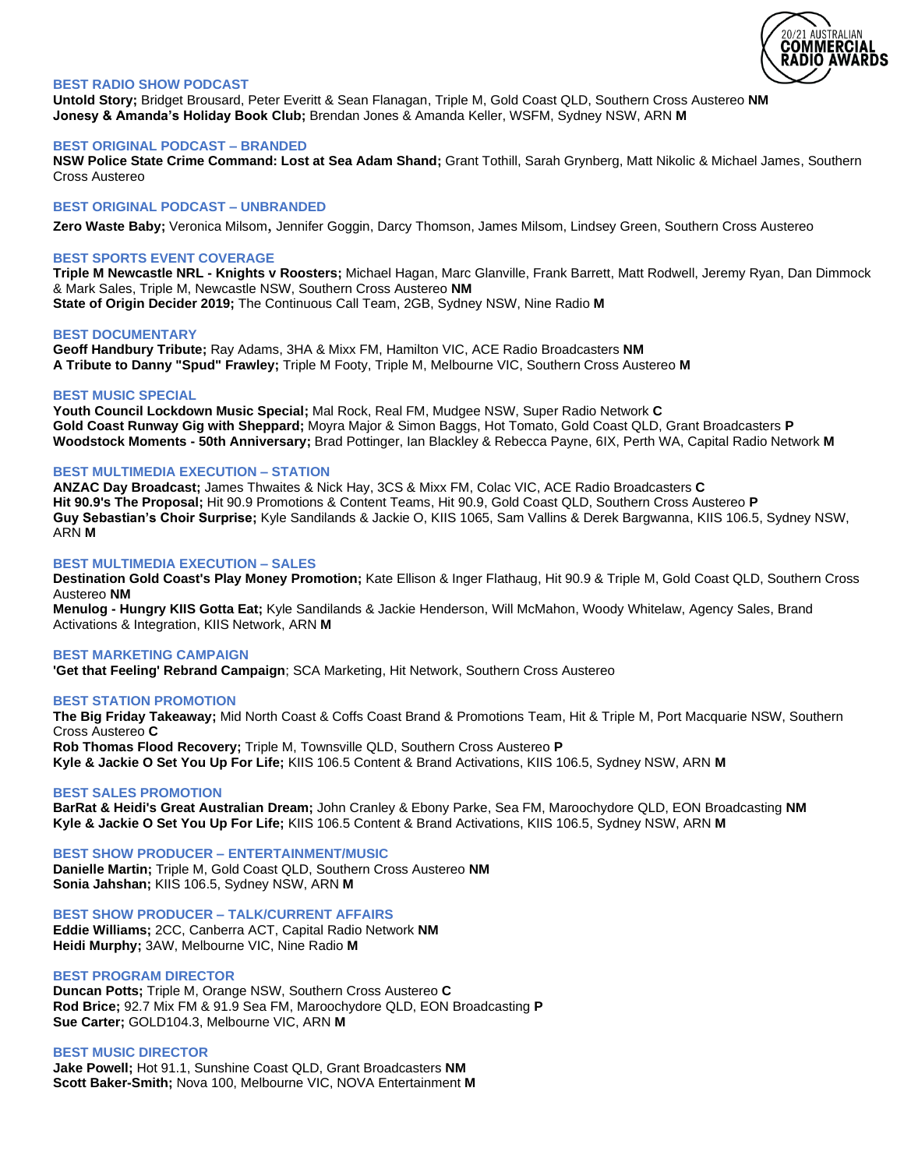

# **BEST RADIO SHOW PODCAST**

**Untold Story;** Bridget Brousard, Peter Everitt & Sean Flanagan, Triple M, Gold Coast QLD, Southern Cross Austereo **NM Jonesy & Amanda's Holiday Book Club;** Brendan Jones & Amanda Keller, WSFM, Sydney NSW, ARN **M**

#### **BEST ORIGINAL PODCAST – BRANDED**

**NSW Police State Crime Command: Lost at Sea Adam Shand;** Grant Tothill, Sarah Grynberg, Matt Nikolic & Michael James, Southern Cross Austereo

## **BEST ORIGINAL PODCAST – UNBRANDED**

**Zero Waste Baby;** Veronica Milsom, Jennifer Goggin, Darcy Thomson, James Milsom, Lindsey Green, Southern Cross Austereo

#### **BEST SPORTS EVENT COVERAGE**

**Triple M Newcastle NRL - Knights v Roosters;** Michael Hagan, Marc Glanville, Frank Barrett, Matt Rodwell, Jeremy Ryan, Dan Dimmock & Mark Sales, Triple M, Newcastle NSW, Southern Cross Austereo **NM State of Origin Decider 2019;** The Continuous Call Team, 2GB, Sydney NSW, Nine Radio **M**

#### **BEST DOCUMENTARY**

**Geoff Handbury Tribute;** Ray Adams, 3HA & Mixx FM, Hamilton VIC, ACE Radio Broadcasters **NM A Tribute to Danny "Spud" Frawley;** Triple M Footy, Triple M, Melbourne VIC, Southern Cross Austereo **M**

#### **BEST MUSIC SPECIAL**

**Youth Council Lockdown Music Special;** Mal Rock, Real FM, Mudgee NSW, Super Radio Network **C Gold Coast Runway Gig with Sheppard;** Moyra Major & Simon Baggs, Hot Tomato, Gold Coast QLD, Grant Broadcasters **P Woodstock Moments - 50th Anniversary;** Brad Pottinger, Ian Blackley & Rebecca Payne, 6IX, Perth WA, Capital Radio Network **M**

## **BEST MULTIMEDIA EXECUTION – STATION**

**ANZAC Day Broadcast;** James Thwaites & Nick Hay, 3CS & Mixx FM, Colac VIC, ACE Radio Broadcasters **C Hit 90.9's The Proposal;** Hit 90.9 Promotions & Content Teams, Hit 90.9, Gold Coast QLD, Southern Cross Austereo **P Guy Sebastian's Choir Surprise;** Kyle Sandilands & Jackie O, KIIS 1065, Sam Vallins & Derek Bargwanna, KIIS 106.5, Sydney NSW, ARN **M**

#### **BEST MULTIMEDIA EXECUTION – SALES**

**Destination Gold Coast's Play Money Promotion;** Kate Ellison & Inger Flathaug, Hit 90.9 & Triple M, Gold Coast QLD, Southern Cross Austereo **NM**

**Menulog - Hungry KIIS Gotta Eat;** Kyle Sandilands & Jackie Henderson, Will McMahon, Woody Whitelaw, Agency Sales, Brand Activations & Integration, KIIS Network, ARN **M**

#### **BEST MARKETING CAMPAIGN**

**'Get that Feeling' Rebrand Campaign**; SCA Marketing, Hit Network, Southern Cross Austereo

#### **BEST STATION PROMOTION**

**The Big Friday Takeaway;** Mid North Coast & Coffs Coast Brand & Promotions Team, Hit & Triple M, Port Macquarie NSW, Southern Cross Austereo **C**

**Rob Thomas Flood Recovery;** Triple M, Townsville QLD, Southern Cross Austereo **P Kyle & Jackie O Set You Up For Life;** KIIS 106.5 Content & Brand Activations, KIIS 106.5, Sydney NSW, ARN **M**

# **BEST SALES PROMOTION**

**BarRat & Heidi's Great Australian Dream;** John Cranley & Ebony Parke, Sea FM, Maroochydore QLD, EON Broadcasting **NM Kyle & Jackie O Set You Up For Life;** KIIS 106.5 Content & Brand Activations, KIIS 106.5, Sydney NSW, ARN **M**

**BEST SHOW PRODUCER – ENTERTAINMENT/MUSIC Danielle Martin;** Triple M, Gold Coast QLD, Southern Cross Austereo **NM**

**Sonia Jahshan;** KIIS 106.5, Sydney NSW, ARN **M**

**BEST SHOW PRODUCER – TALK/CURRENT AFFAIRS Eddie Williams;** 2CC, Canberra ACT, Capital Radio Network **NM Heidi Murphy;** 3AW, Melbourne VIC, Nine Radio **M**

#### **BEST PROGRAM DIRECTOR**

**Duncan Potts;** Triple M, Orange NSW, Southern Cross Austereo **C Rod Brice;** 92.7 Mix FM & 91.9 Sea FM, Maroochydore QLD, EON Broadcasting **P Sue Carter;** GOLD104.3, Melbourne VIC, ARN **M**

## **BEST MUSIC DIRECTOR**

**Jake Powell;** Hot 91.1, Sunshine Coast QLD, Grant Broadcasters **NM Scott Baker-Smith;** Nova 100, Melbourne VIC, NOVA Entertainment **M**